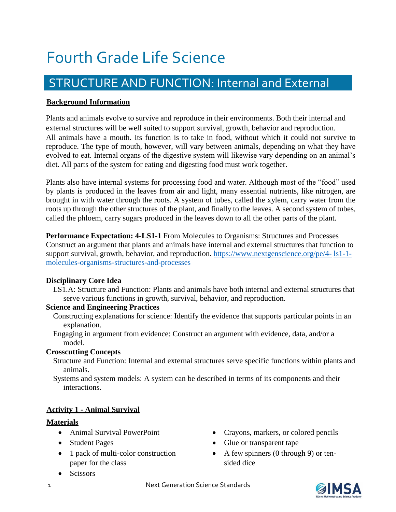# Fourth Grade Life Science

# STRUCTURE AND FUNCTION: Internal and External

#### **Background Information**

Plants and animals evolve to survive and reproduce in their environments. Both their internal and external structures will be well suited to support survival, growth, behavior and reproduction. All animals have a mouth. Its function is to take in food, without which it could not survive to reproduce. The type of mouth, however, will vary between animals, depending on what they have evolved to eat. Internal organs of the digestive system will likewise vary depending on an animal's diet. All parts of the system for eating and digesting food must work together.

Plants also have internal systems for processing food and water. Although most of the "food" used by plants is produced in the leaves from air and light, many essential nutrients, like nitrogen, are brought in with water through the roots. A system of tubes, called the xylem, carry water from the roots up through the other structures of the plant, and finally to the leaves. A second system of tubes, called the phloem, carry sugars produced in the leaves down to all the other parts of the plant.

**Performance Expectation: 4-LS1-1** From Molecules to Organisms: Structures and Processes Construct an argument that plants and animals have internal and external structures that function to support survival, growth, behavior, and reproduction. [https://www.nextgenscience.org/pe/4-](https://www.nextgenscience.org/pe/4-ls1-1-molecules-organisms-structures-and-processes) [ls1-1](https://www.nextgenscience.org/pe/4-ls1-1-molecules-organisms-structures-and-processes) [molecules-organisms-structures-and-processes](https://www.nextgenscience.org/pe/4-ls1-1-molecules-organisms-structures-and-processes)

#### **Disciplinary Core Idea**

LS1.A: Structure and Function: Plants and animals have both internal and external structures that serve various functions in growth, survival, behavior, and reproduction.

#### **Science and Engineering Practices**

- Constructing explanations for science: Identify the evidence that supports particular points in an explanation.
- Engaging in argument from evidence: Construct an argument with evidence, data, and/or a model.

# **Crosscutting Concepts**

- Structure and Function: Internal and external structures serve specific functions within plants and animals.
- Systems and system models: A system can be described in terms of its components and their interactions.

# **Activity 1 - Animal Survival**

#### **Materials**

- Animal Survival PowerPoint
- Student Pages
- 1 pack of multi-color construction paper for the class
- Scissors
- Crayons, markers, or colored pencils
- Glue or transparent tape
- A few spinners  $(0 \text{ through } 9)$  or tensided dice

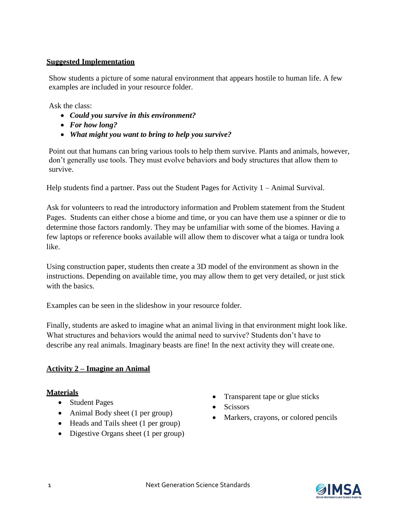# **Suggested Implementation**

Show students a picture of some natural environment that appears hostile to human life. A few examples are included in your resource folder.

Ask the class:

- *Could you survive in this environment?*
- *For how long?*
- *What might you want to bring to help you survive?*

Point out that humans can bring various tools to help them survive. Plants and animals, however, don't generally use tools. They must evolve behaviors and body structures that allow them to survive.

Help students find a partner. Pass out the Student Pages for Activity 1 – Animal Survival.

Ask for volunteers to read the introductory information and Problem statement from the Student Pages. Students can either chose a biome and time, or you can have them use a spinner or die to determine those factors randomly. They may be unfamiliar with some of the biomes. Having a few laptops or reference books available will allow them to discover what a taiga or tundra look like.

Using construction paper, students then create a 3D model of the environment as shown in the instructions. Depending on available time, you may allow them to get very detailed, or just stick with the basics.

Examples can be seen in the slideshow in your resource folder.

Finally, students are asked to imagine what an animal living in that environment might look like. What structures and behaviors would the animal need to survive? Students don't have to describe any real animals. Imaginary beasts are fine! In the next activity they will create one.

# **Activity 2 – Imagine an Animal**

# **Materials**

- Student Pages
- Animal Body sheet (1 per group)
- Heads and Tails sheet (1 per group)
- Digestive Organs sheet (1 per group)
- Transparent tape or glue sticks
- Scissors
- Markers, crayons, or colored pencils

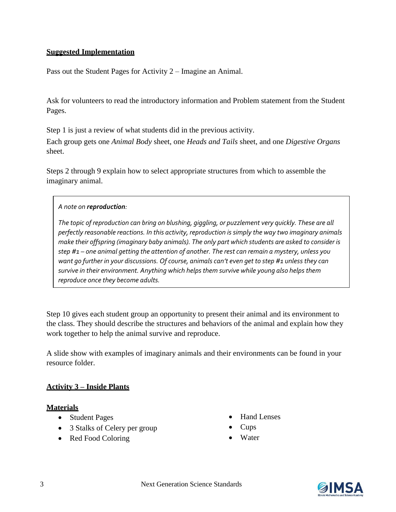# **Suggested Implementation**

Pass out the Student Pages for Activity 2 – Imagine an Animal.

Ask for volunteers to read the introductory information and Problem statement from the Student Pages.

Step 1 is just a review of what students did in the previous activity.

Each group gets one *Animal Body* sheet, one *Heads and Tails* sheet, and one *Digestive Organs* sheet.

Steps 2 through 9 explain how to select appropriate structures from which to assemble the imaginary animal.

#### *A note on reproduction:*

*The topic of reproduction can bring on blushing, giggling, or puzzlement very quickly. These are all perfectly reasonable reactions. In this activity, reproduction is simply the way two imaginary animals make their offspring (imaginary baby animals). The only part which students are asked to consider is step #1 – one animal getting the attention of another. The rest can remain a mystery, unless you want go further in your discussions. Of course, animals can't even get to step #1 unless they can survive in their environment. Anything which helps them survive while young also helps them reproduce once they become adults.*

Step 10 gives each student group an opportunity to present their animal and its environment to the class. They should describe the structures and behaviors of the animal and explain how they work together to help the animal survive and reproduce.

A slide show with examples of imaginary animals and their environments can be found in your resource folder.

# **Activity 3 – Inside Plants**

#### **Materials**

- Student Pages
- 3 Stalks of Celery per group
- Red Food Coloring
- Hand Lenses
- $\bullet$  Cups
- Water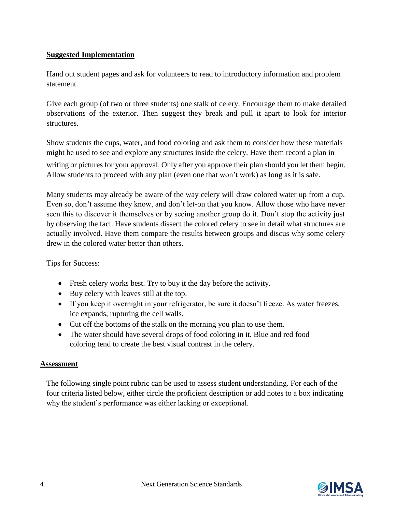# **Suggested Implementation**

Hand out student pages and ask for volunteers to read to introductory information and problem statement.

Give each group (of two or three students) one stalk of celery. Encourage them to make detailed observations of the exterior. Then suggest they break and pull it apart to look for interior structures.

Show students the cups, water, and food coloring and ask them to consider how these materials might be used to see and explore any structures inside the celery. Have them record a plan in

writing or pictures for your approval. Only after you approve their plan should you let them begin. Allow students to proceed with any plan (even one that won't work) as long as it is safe.

Many students may already be aware of the way celery will draw colored water up from a cup. Even so, don't assume they know, and don't let-on that you know. Allow those who have never seen this to discover it themselves or by seeing another group do it. Don't stop the activity just by observing the fact. Have students dissect the colored celery to see in detail what structures are actually involved. Have them compare the results between groups and discus why some celery drew in the colored water better than others.

Tips for Success:

- Fresh celery works best. Try to buy it the day before the activity.
- Buy celery with leaves still at the top.
- If you keep it overnight in your refrigerator, be sure it doesn't freeze. As water freezes, ice expands, rupturing the cell walls.
- Cut off the bottoms of the stalk on the morning you plan to use them.
- The water should have several drops of food coloring in it. Blue and red food coloring tend to create the best visual contrast in the celery.

#### **Assessment**

The following single point rubric can be used to assess student understanding. For each of the four criteria listed below, either circle the proficient description or add notes to a box indicating why the student's performance was either lacking or exceptional.